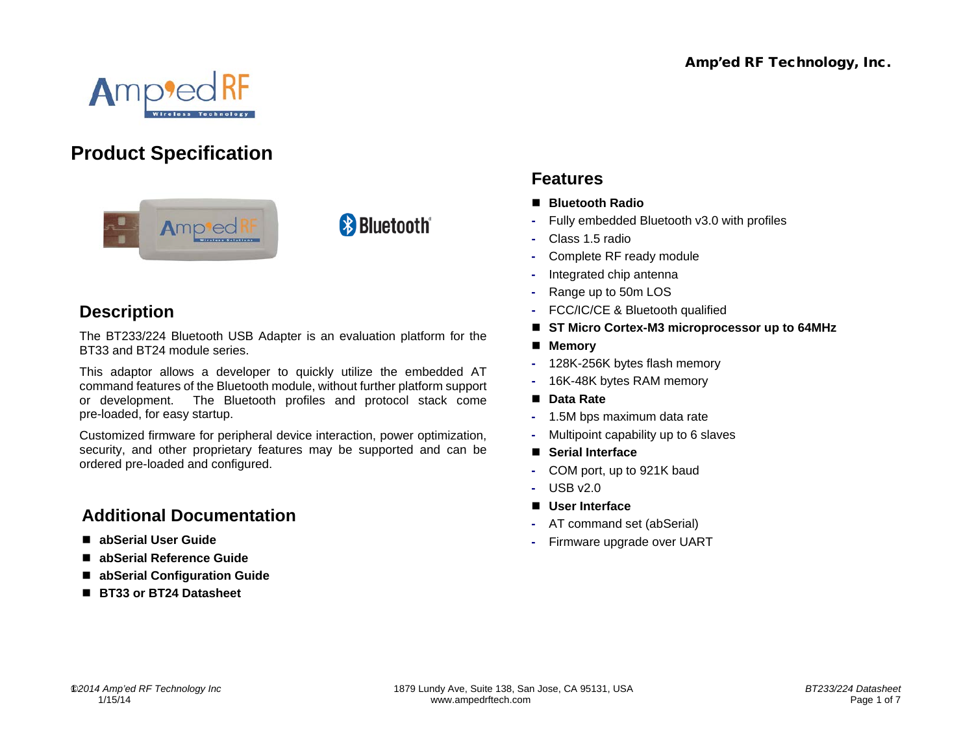

# **Product Specification**



# **Description**

The BT233/224 Bluetooth USB Adapter is an evaluation platform for the BT33 and BT24 module series.

**& Bluetooth**®

This adaptor allows a developer to quickly utilize the embedded AT command features of the Bluetooth module, without further platform support or development. The Bluetooth profiles and protocol stack come pre-loaded, for easy startup.

Customized firmware for peripheral device interaction, power optimization, security, and other proprietary features may be supported and can be ordered pre-loaded and configured.

## **Additional Documentation**

- **abSerial User Guide**
- **abSerial Reference Guide**
- **abSerial Configuration Guide**
- **BT33 or BT24 Datasheet**

## **Features**

- **Bluetooth Radio**
- **-** Fully embedded Bluetooth v3.0 with profiles
- **-** Class 1.5 radio
- **-** Complete RF ready module
- **-** Integrated chip antenna
- **-** Range up to 50m LOS
- **-** FCC/IC/CE & Bluetooth qualified
- **ST Micro Cortex-M3 microprocessor up to 64MHz**
- **Memory**
- **-** 128K-256K bytes flash memory
- **-** 16K-48K bytes RAM memory
- Data Rate
- **-** 1.5M bps maximum data rate
- **-** Multipoint capability up to 6 slaves
- **Serial Interface**
- **-** COM port, up to 921K baud
- **-** USB v2.0
- **User Interface**
- **-** AT command set (abSerial)
- **-** Firmware upgrade over UART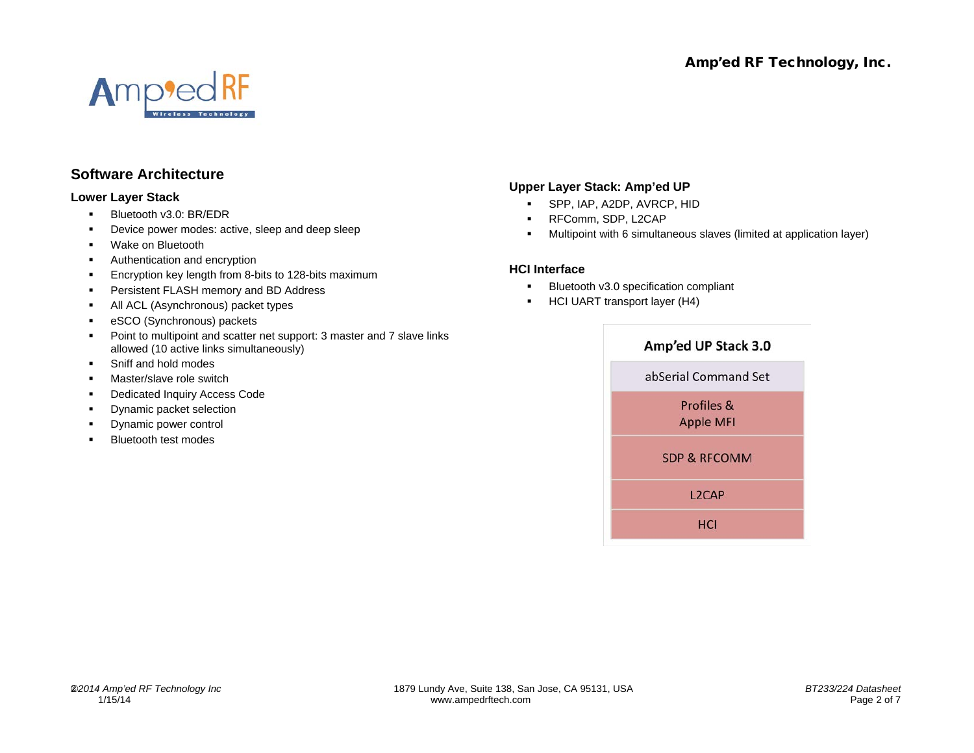

## **Software Architecture**

#### **Lower Layer Stack**

- **Bluetooth v3.0: BR/EDR**
- Device power modes: active, sleep and deep sleep
- **•** Wake on Bluetooth
- Authentication and encryption
- **Encryption key length from 8-bits to 128-bits maximum**
- **Persistent FLASH memory and BD Address**
- All ACL (Asynchronous) packet types
- **EXCO (Synchronous) packets**
- Point to multipoint and scatter net support: 3 master and 7 slave links allowed (10 active links simultaneously)
- Sniff and hold modes
- Master/slave role switch
- Dedicated Inquiry Access Code
- Dynamic packet selection
- Dynamic power control
- Bluetooth test modes

#### **Upper Layer Stack: Amp'ed UP**

- SPP, IAP, A2DP, AVRCP, HID
- **RFComm, SDP, L2CAP**
- Multipoint with 6 simultaneous slaves (limited at application layer)

#### **HCI Interface**

- **Bluetooth v3.0 specification compliant**
- **HCI UART transport layer (H4)**

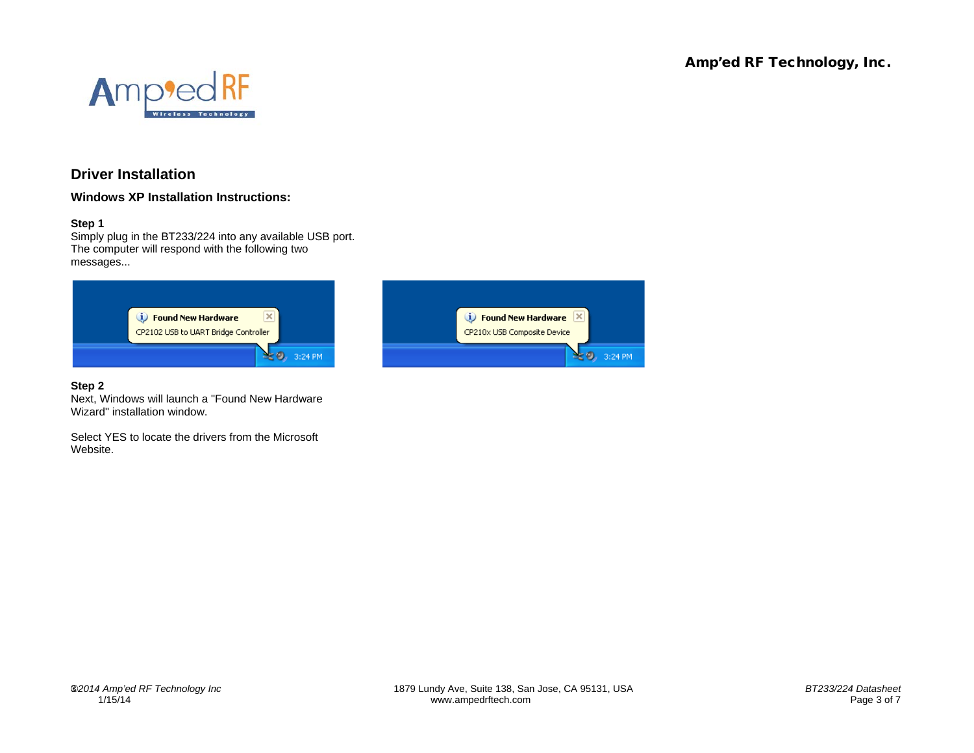

## **Driver Installation**

**Windows XP Installation Instructions:**

#### **Step 1**

Simply plug in the BT233/224 into any available USB port. The computer will respond with the following two messages...



#### **Step 2**

Next, Windows will launch a "Found New Hardware Wizard" installation window.

Select YES to locate the drivers from the Microsoft Website.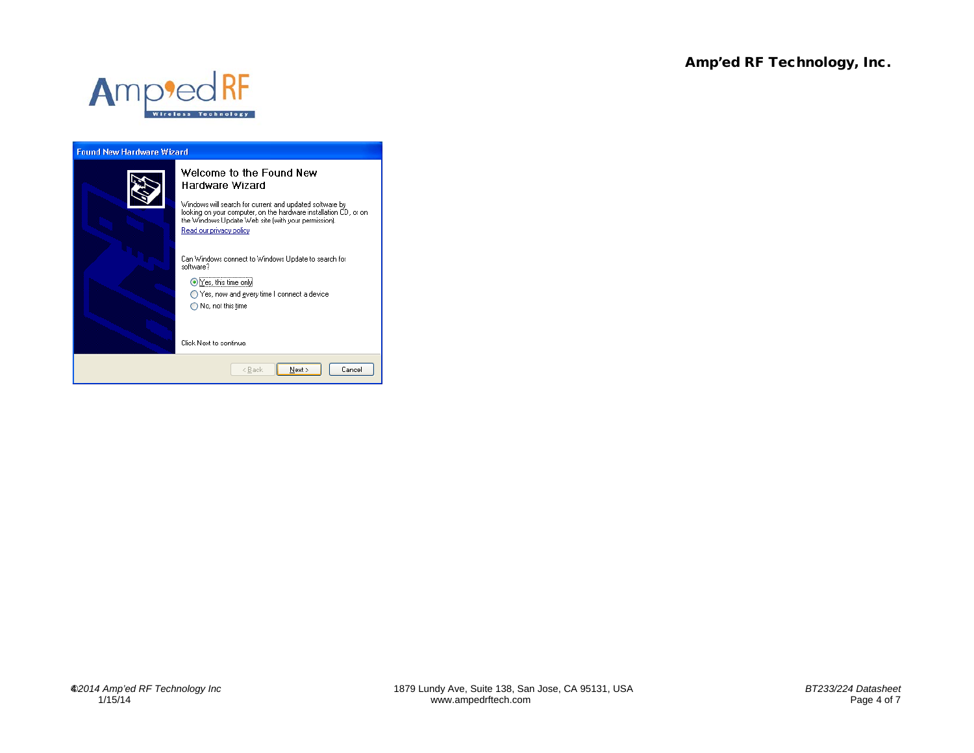

### **Found New Hardware Wizard** Welcome to the Found New Hardware Wizard Windows will search for current and updated software by<br>looking on your computer, on the hardware installation CD, or on<br>the Windows Update Web site (with your permission). Read our privacy policy Can Windows connect to Windows Update to search for software? ⊙Yes, this time only ◯ Yes, now and gvery time I connect a device  $\bigcirc$  No, not this time Click Next to continue.  $\leq$  8 ack  $N$ ext > Cancel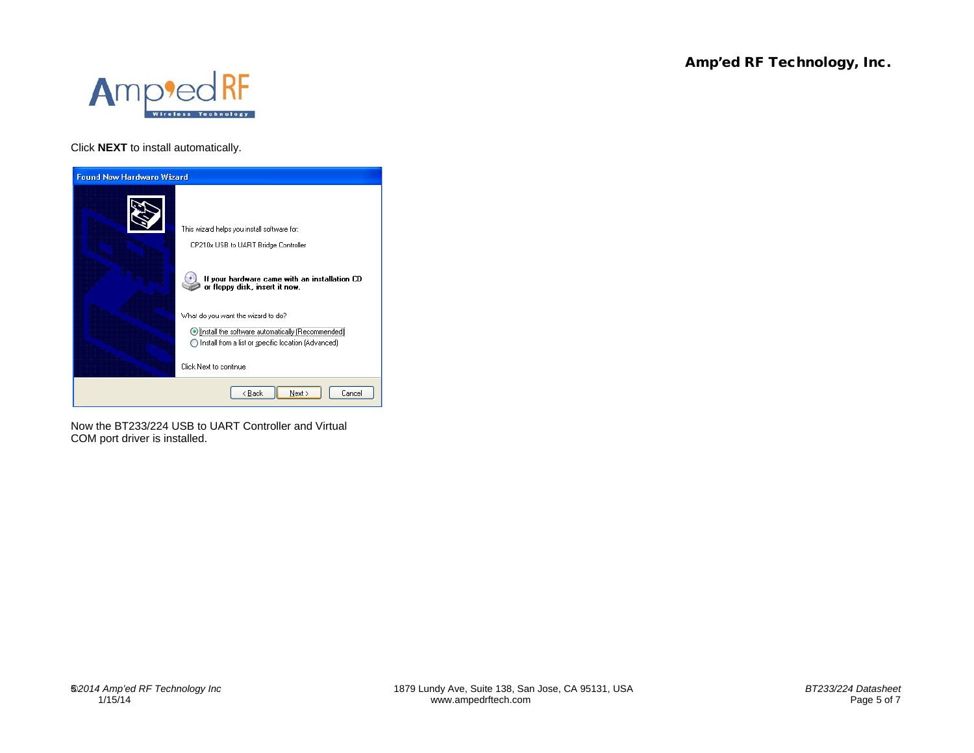

Click **NEXT** to install automatically.



Now the BT233/224 USB to UART Controller and Virtual COM port driver is installed.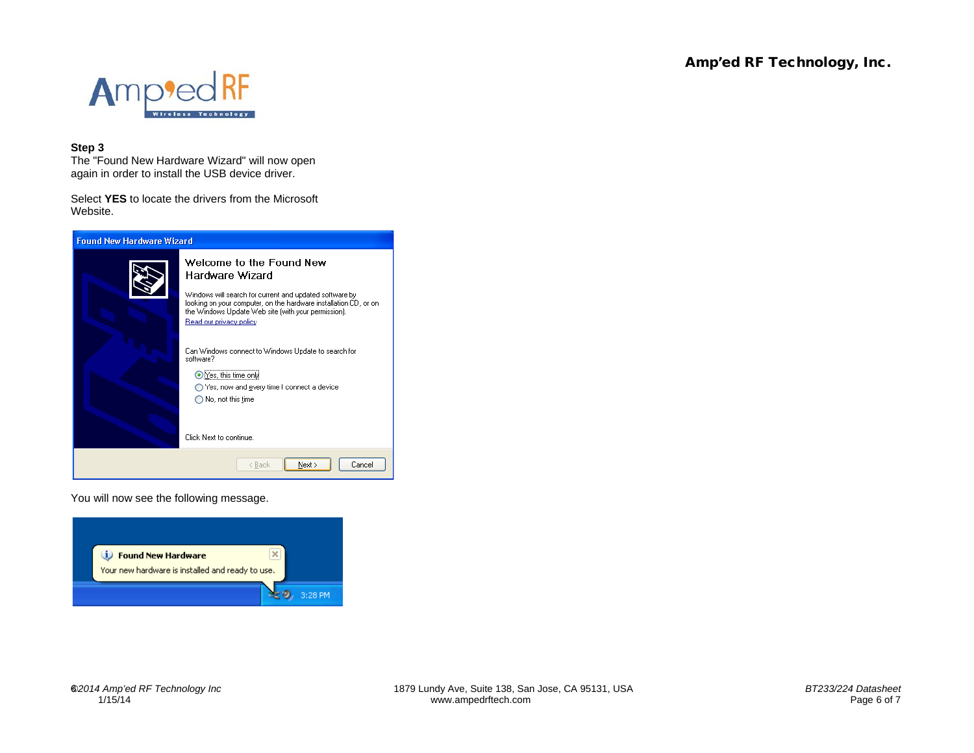

#### **Step 3**

The "Found New Hardware Wizard" will now open again in order to install the USB device driver.

Select **YES** to locate the drivers from the Microsoft Website.



You will now see the following message.